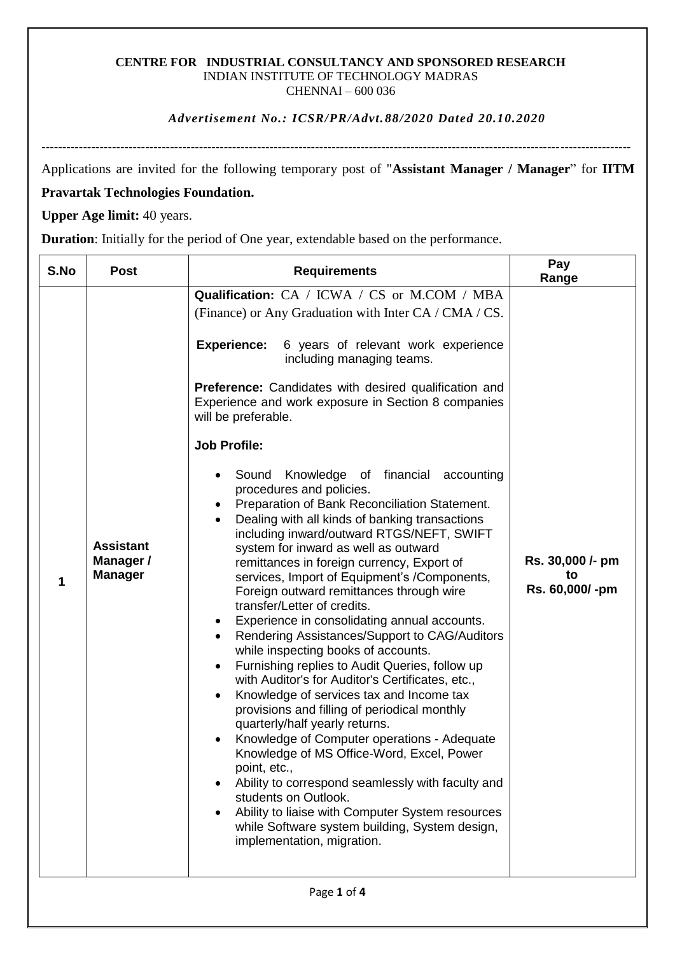#### **CENTRE FOR INDUSTRIAL CONSULTANCY AND SPONSORED RESEARCH** INDIAN INSTITUTE OF TECHNOLOGY MADRAS CHENNAI – 600 036

#### *Advertisement No.: ICSR/PR/Advt. 88/2020 Dated 20.10.2020*

----------------------------------------------------------------------------------------------------------------------------------------------

Applications are invited for the following temporary post of "**Assistant Manager / Manager**" for **IITM** 

## **Pravartak Technologies Foundation.**

**Upper Age limit:** 40 years.

**Duration**: Initially for the period of One year, extendable based on the performance.

| S.No        | <b>Post</b>                                     | <b>Requirements</b>                                                                                                                                                                                                                                                                                                                                                                                                                                                                                                                                                                                                                                                                                                                                                                                                                                                                                                                                                                                                                                                                                                                                                                                                                                                                                                                                                                                                                                                                                                                                              | Pay<br>Range                             |
|-------------|-------------------------------------------------|------------------------------------------------------------------------------------------------------------------------------------------------------------------------------------------------------------------------------------------------------------------------------------------------------------------------------------------------------------------------------------------------------------------------------------------------------------------------------------------------------------------------------------------------------------------------------------------------------------------------------------------------------------------------------------------------------------------------------------------------------------------------------------------------------------------------------------------------------------------------------------------------------------------------------------------------------------------------------------------------------------------------------------------------------------------------------------------------------------------------------------------------------------------------------------------------------------------------------------------------------------------------------------------------------------------------------------------------------------------------------------------------------------------------------------------------------------------------------------------------------------------------------------------------------------------|------------------------------------------|
| 1           | <b>Assistant</b><br>Manager /<br><b>Manager</b> | Qualification: CA / ICWA / CS or M.COM / MBA<br>(Finance) or Any Graduation with Inter CA / CMA / CS.<br><b>Experience:</b><br>6 years of relevant work experience<br>including managing teams.<br>Preference: Candidates with desired qualification and<br>Experience and work exposure in Section 8 companies<br>will be preferable.<br><b>Job Profile:</b><br>Knowledge of financial<br>accounting<br>Sound<br>٠<br>procedures and policies.<br>Preparation of Bank Reconciliation Statement.<br>Dealing with all kinds of banking transactions<br>including inward/outward RTGS/NEFT, SWIFT<br>system for inward as well as outward<br>remittances in foreign currency, Export of<br>services, Import of Equipment's /Components,<br>Foreign outward remittances through wire<br>transfer/Letter of credits.<br>Experience in consolidating annual accounts.<br>Rendering Assistances/Support to CAG/Auditors<br>while inspecting books of accounts.<br>Furnishing replies to Audit Queries, follow up<br>$\bullet$<br>with Auditor's for Auditor's Certificates, etc.,<br>Knowledge of services tax and Income tax<br>$\bullet$<br>provisions and filling of periodical monthly<br>quarterly/half yearly returns.<br>Knowledge of Computer operations - Adequate<br>$\bullet$<br>Knowledge of MS Office-Word, Excel, Power<br>point, etc.,<br>Ability to correspond seamlessly with faculty and<br>students on Outlook.<br>Ability to liaise with Computer System resources<br>while Software system building, System design,<br>implementation, migration. | Rs. 30,000 /- pm<br>to<br>Rs. 60,000/-pm |
| Page 1 of 4 |                                                 |                                                                                                                                                                                                                                                                                                                                                                                                                                                                                                                                                                                                                                                                                                                                                                                                                                                                                                                                                                                                                                                                                                                                                                                                                                                                                                                                                                                                                                                                                                                                                                  |                                          |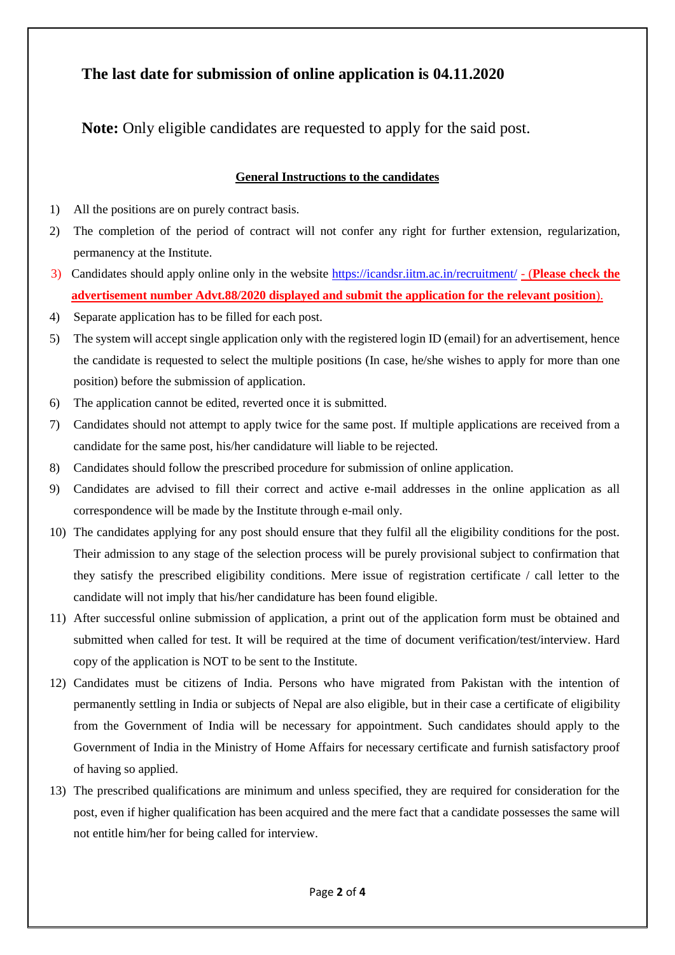# **The last date for submission of online application is 04.11.2020**

**Note:** Only eligible candidates are requested to apply for the said post.

## **General Instructions to the candidates**

- 1) All the positions are on purely contract basis.
- 2) The completion of the period of contract will not confer any right for further extension, regularization, permanency at the Institute.
- 3) Candidates should apply online only in the website<https://icandsr.iitm.ac.in/recruitment/> (**Please check the advertisement number Advt.88/2020 displayed and submit the application for the relevant position**).
- 4) Separate application has to be filled for each post.
- 5) The system will accept single application only with the registered login ID (email) for an advertisement, hence the candidate is requested to select the multiple positions (In case, he/she wishes to apply for more than one position) before the submission of application.
- 6) The application cannot be edited, reverted once it is submitted.
- 7) Candidates should not attempt to apply twice for the same post. If multiple applications are received from a candidate for the same post, his/her candidature will liable to be rejected.
- 8) Candidates should follow the prescribed procedure for submission of online application.
- 9) Candidates are advised to fill their correct and active e-mail addresses in the online application as all correspondence will be made by the Institute through e-mail only.
- 10) The candidates applying for any post should ensure that they fulfil all the eligibility conditions for the post. Their admission to any stage of the selection process will be purely provisional subject to confirmation that they satisfy the prescribed eligibility conditions. Mere issue of registration certificate / call letter to the candidate will not imply that his/her candidature has been found eligible.
- 11) After successful online submission of application, a print out of the application form must be obtained and submitted when called for test. It will be required at the time of document verification/test/interview. Hard copy of the application is NOT to be sent to the Institute.
- 12) Candidates must be citizens of India. Persons who have migrated from Pakistan with the intention of permanently settling in India or subjects of Nepal are also eligible, but in their case a certificate of eligibility from the Government of India will be necessary for appointment. Such candidates should apply to the Government of India in the Ministry of Home Affairs for necessary certificate and furnish satisfactory proof of having so applied.
- 13) The prescribed qualifications are minimum and unless specified, they are required for consideration for the post, even if higher qualification has been acquired and the mere fact that a candidate possesses the same will not entitle him/her for being called for interview.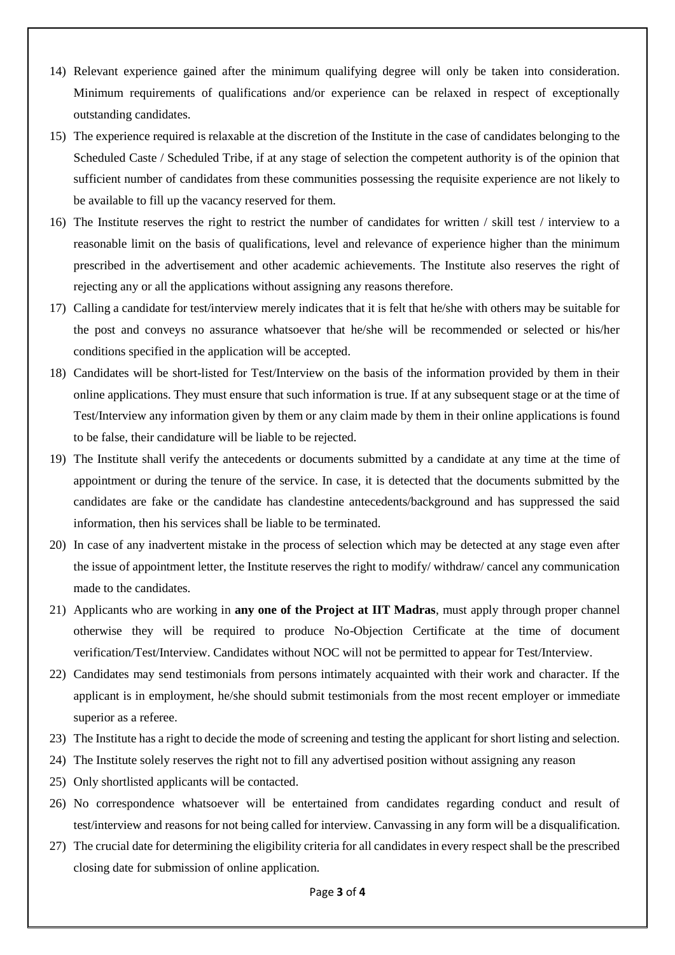- 14) Relevant experience gained after the minimum qualifying degree will only be taken into consideration. Minimum requirements of qualifications and/or experience can be relaxed in respect of exceptionally outstanding candidates.
- 15) The experience required is relaxable at the discretion of the Institute in the case of candidates belonging to the Scheduled Caste / Scheduled Tribe, if at any stage of selection the competent authority is of the opinion that sufficient number of candidates from these communities possessing the requisite experience are not likely to be available to fill up the vacancy reserved for them.
- 16) The Institute reserves the right to restrict the number of candidates for written / skill test / interview to a reasonable limit on the basis of qualifications, level and relevance of experience higher than the minimum prescribed in the advertisement and other academic achievements. The Institute also reserves the right of rejecting any or all the applications without assigning any reasons therefore.
- 17) Calling a candidate for test/interview merely indicates that it is felt that he/she with others may be suitable for the post and conveys no assurance whatsoever that he/she will be recommended or selected or his/her conditions specified in the application will be accepted.
- 18) Candidates will be short-listed for Test/Interview on the basis of the information provided by them in their online applications. They must ensure that such information is true. If at any subsequent stage or at the time of Test/Interview any information given by them or any claim made by them in their online applications is found to be false, their candidature will be liable to be rejected.
- 19) The Institute shall verify the antecedents or documents submitted by a candidate at any time at the time of appointment or during the tenure of the service. In case, it is detected that the documents submitted by the candidates are fake or the candidate has clandestine antecedents/background and has suppressed the said information, then his services shall be liable to be terminated.
- 20) In case of any inadvertent mistake in the process of selection which may be detected at any stage even after the issue of appointment letter, the Institute reserves the right to modify/ withdraw/ cancel any communication made to the candidates.
- 21) Applicants who are working in **any one of the Project at IIT Madras**, must apply through proper channel otherwise they will be required to produce No-Objection Certificate at the time of document verification/Test/Interview. Candidates without NOC will not be permitted to appear for Test/Interview.
- 22) Candidates may send testimonials from persons intimately acquainted with their work and character. If the applicant is in employment, he/she should submit testimonials from the most recent employer or immediate superior as a referee.
- 23) The Institute has a right to decide the mode of screening and testing the applicant for short listing and selection.
- 24) The Institute solely reserves the right not to fill any advertised position without assigning any reason
- 25) Only shortlisted applicants will be contacted.
- 26) No correspondence whatsoever will be entertained from candidates regarding conduct and result of test/interview and reasons for not being called for interview. Canvassing in any form will be a disqualification.
- 27) The crucial date for determining the eligibility criteria for all candidates in every respect shall be the prescribed closing date for submission of online application.